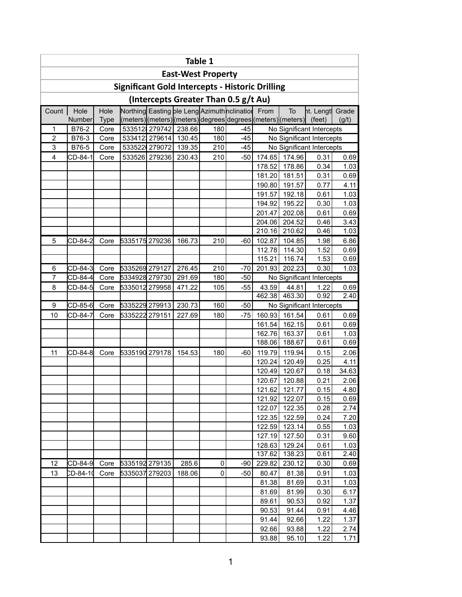| Table 1                                                                              |          |             |                                                        |               |                           |     |                                                              |        |               |                           |       |  |  |  |
|--------------------------------------------------------------------------------------|----------|-------------|--------------------------------------------------------|---------------|---------------------------|-----|--------------------------------------------------------------|--------|---------------|---------------------------|-------|--|--|--|
|                                                                                      |          |             |                                                        |               | <b>East-West Property</b> |     |                                                              |        |               |                           |       |  |  |  |
|                                                                                      |          |             | <b>Significant Gold Intercepts - Historic Drilling</b> |               |                           |     |                                                              |        |               |                           |       |  |  |  |
| (Intercepts Greater Than 0.5 g/t Au)<br>Northing Easting ble Leng Azimuth nclination |          |             |                                                        |               |                           |     |                                                              |        |               |                           |       |  |  |  |
| Count                                                                                | Hole     | Hole        |                                                        |               |                           |     |                                                              | From   | To            | ht. Lengt                 | Grade |  |  |  |
|                                                                                      | Number   | <b>Type</b> |                                                        |               |                           |     | (meters) (meters) (meters) degrees degrees (meters) (meters) |        |               | (feet)                    | (g/t) |  |  |  |
| 1                                                                                    | B76-2    | Core        |                                                        | 533512 279742 | 238.66                    | 180 | $-45$                                                        |        |               | No Significant Intercepts |       |  |  |  |
| $\overline{2}$                                                                       | B76-3    | Core        |                                                        | 533412 279614 | 130.45                    | 180 | $-45$                                                        |        |               | No Significant Intercepts |       |  |  |  |
| 3                                                                                    | B76-5    | Core        |                                                        | 533522 279072 | 139.35                    | 210 | $-45$                                                        |        |               | No Significant Intercepts |       |  |  |  |
| 4                                                                                    | CD-84-1  | Core        |                                                        | 533526 279236 | 230.43                    | 210 | $-50$                                                        | 174.65 | 174.96        | 0.31                      | 0.69  |  |  |  |
|                                                                                      |          |             |                                                        |               |                           |     |                                                              | 178.52 | 178.86        | 0.34                      | 1.03  |  |  |  |
|                                                                                      |          |             |                                                        |               |                           |     |                                                              | 181.20 | 181.51        | 0.31                      | 0.69  |  |  |  |
|                                                                                      |          |             |                                                        |               |                           |     |                                                              | 190.80 | 191.57        | 0.77                      | 4.11  |  |  |  |
|                                                                                      |          |             |                                                        |               |                           |     |                                                              | 191.57 | 192.18        | 0.61                      | 1.03  |  |  |  |
|                                                                                      |          |             |                                                        |               |                           |     |                                                              | 194.92 | 195.22        | 0.30                      | 1.03  |  |  |  |
|                                                                                      |          |             |                                                        |               |                           |     |                                                              | 201.47 | 202.08        | 0.61                      | 0.69  |  |  |  |
|                                                                                      |          |             |                                                        |               |                           |     |                                                              | 204.06 | 204.52        | 0.46                      | 3.43  |  |  |  |
|                                                                                      |          |             |                                                        |               |                           |     |                                                              | 210.16 | 210.62        | 0.46                      | 1.03  |  |  |  |
| 5                                                                                    | CD-84-2  | Core        | 5335175 279236                                         |               | 166.73                    | 210 | -60                                                          | 102.87 | 104.85        | 1.98                      | 6.86  |  |  |  |
|                                                                                      |          |             |                                                        |               |                           |     |                                                              | 112.78 | 114.30        | 1.52                      | 0.69  |  |  |  |
|                                                                                      |          |             |                                                        |               |                           |     |                                                              | 115.21 | 116.74        | 1.53                      | 0.69  |  |  |  |
| 6                                                                                    | CD-84-3  | Core        | 5335269 279127                                         |               | 276.45                    | 210 | $-70$                                                        | 201.93 | 202.23        | 0.30                      | 1.03  |  |  |  |
| $\overline{7}$                                                                       | CD-84-4  | Core        | 5334928 279730                                         |               | 291.69                    | 180 | $-50$                                                        |        |               | No Significant Intercepts |       |  |  |  |
| 8                                                                                    | CD-84-5  | Core        | 5335012 279958                                         |               | 471.22                    | 105 | $-55$                                                        | 43.59  | 44.81         | 1.22                      | 0.69  |  |  |  |
|                                                                                      |          |             |                                                        |               |                           |     |                                                              | 462.38 | 463.30        | 0.92                      | 2.40  |  |  |  |
| 9                                                                                    | CD-85-6  | Core        | 5335229 279913                                         |               | 230.73                    | 160 | $-50$                                                        |        |               | No Significant Intercepts |       |  |  |  |
| 10                                                                                   | CD-84-7  | Core        | 5335222 279151                                         |               | 227.69                    | 180 | $-75$                                                        | 160.93 | 161.54        | 0.61                      | 0.69  |  |  |  |
|                                                                                      |          |             |                                                        |               |                           |     |                                                              | 161.54 | 162.15        | 0.61                      | 0.69  |  |  |  |
|                                                                                      |          |             |                                                        |               |                           |     |                                                              | 162.76 | 163.37        | 0.61                      | 1.03  |  |  |  |
|                                                                                      |          |             |                                                        |               |                           |     |                                                              | 188.06 | 188.67        | 0.61                      | 0.69  |  |  |  |
| 11                                                                                   | CD-84-8  | Core        | 5335190 279178                                         |               | 154.53                    | 180 | $-60$                                                        | 119.79 | 119.94        | 0.15                      | 2.06  |  |  |  |
|                                                                                      |          |             |                                                        |               |                           |     |                                                              | 120.24 | 120.49        | 0.25                      | 4.11  |  |  |  |
|                                                                                      |          |             |                                                        |               |                           |     |                                                              | 120.49 | 120.67        | 0.18                      | 34.63 |  |  |  |
|                                                                                      |          |             |                                                        |               |                           |     |                                                              |        | 120.67 120.88 | 0.21                      | 2.06  |  |  |  |
|                                                                                      |          |             |                                                        |               |                           |     |                                                              | 121.62 | 121.77        | 0.15                      | 4.80  |  |  |  |
|                                                                                      |          |             |                                                        |               |                           |     |                                                              | 121.92 | 122.07        | 0.15                      | 0.69  |  |  |  |
|                                                                                      |          |             |                                                        |               |                           |     |                                                              | 122.07 | 122.35        | 0.28                      | 2.74  |  |  |  |
|                                                                                      |          |             |                                                        |               |                           |     |                                                              | 122.35 | 122.59        | 0.24                      | 7.20  |  |  |  |
|                                                                                      |          |             |                                                        |               |                           |     |                                                              | 122.59 | 123.14        | 0.55                      | 1.03  |  |  |  |
|                                                                                      |          |             |                                                        |               |                           |     |                                                              | 127.19 | 127.50        | 0.31                      | 9.60  |  |  |  |
|                                                                                      |          |             |                                                        |               |                           |     |                                                              | 128.63 | 129.24        | 0.61                      | 1.03  |  |  |  |
|                                                                                      |          |             |                                                        |               |                           |     |                                                              | 137.62 | 138.23        | 0.61                      | 2.40  |  |  |  |
| 12                                                                                   | CD-84-9  | Core        | 5335192 279135                                         |               | 285.6                     | 0   | $-90$                                                        | 229.82 | 230.12        | 0.30                      | 0.69  |  |  |  |
| 13                                                                                   | CD-84-10 | Core        | 5335037 279203                                         |               | 188.06                    | 0   | $-50$                                                        | 80.47  | 81.38         | 0.91                      | 1.03  |  |  |  |
|                                                                                      |          |             |                                                        |               |                           |     |                                                              | 81.38  | 81.69         | 0.31                      | 1.03  |  |  |  |
|                                                                                      |          |             |                                                        |               |                           |     |                                                              | 81.69  | 81.99         | 0.30                      | 6.17  |  |  |  |
|                                                                                      |          |             |                                                        |               |                           |     |                                                              | 89.61  | 90.53         | 0.92                      | 1.37  |  |  |  |
|                                                                                      |          |             |                                                        |               |                           |     |                                                              | 90.53  | 91.44         | 0.91                      | 4.46  |  |  |  |
|                                                                                      |          |             |                                                        |               |                           |     |                                                              | 91.44  | 92.66         | 1.22                      | 1.37  |  |  |  |
|                                                                                      |          |             |                                                        |               |                           |     |                                                              | 92.66  | 93.88         | 1.22                      | 2.74  |  |  |  |
|                                                                                      |          |             |                                                        |               |                           |     |                                                              | 93.88  | 95.10         | 1.22                      | 1.71  |  |  |  |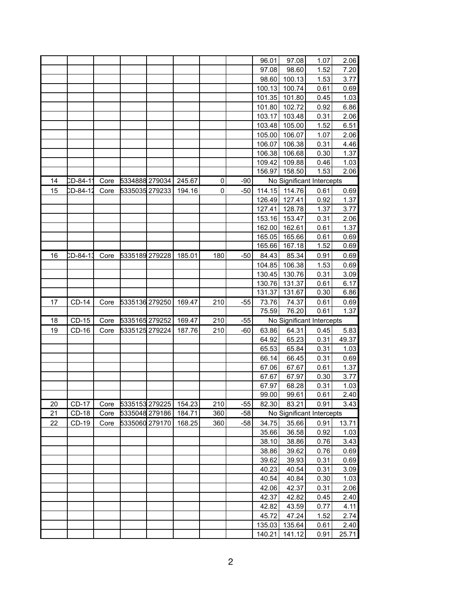|    |              |      |                |        |     |       | 96.01          | 97.08           | 1.07                      | 2.06         |
|----|--------------|------|----------------|--------|-----|-------|----------------|-----------------|---------------------------|--------------|
|    |              |      |                |        |     |       |                |                 |                           |              |
|    |              |      |                |        |     |       | 97.08<br>98.60 | 98.60<br>100.13 | 1.52<br>1.53              | 7.20<br>3.77 |
|    |              |      |                |        |     |       |                |                 |                           |              |
|    |              |      |                |        |     |       | 100.13         | 100.74          | 0.61                      | 0.69         |
|    |              |      |                |        |     |       | 101.35         | 101.80          | 0.45                      | 1.03         |
|    |              |      |                |        |     |       | 101.80         | 102.72          | 0.92                      | 6.86         |
|    |              |      |                |        |     |       | 103.17         | 103.48          | 0.31                      | 2.06         |
|    |              |      |                |        |     |       | 103.48         | 105.00          | 1.52                      | 6.51         |
|    |              |      |                |        |     |       | 105.00         | 106.07          | 1.07                      | 2.06         |
|    |              |      |                |        |     |       | 106.07         | 106.38          | 0.31                      | 4.46         |
|    |              |      |                |        |     |       | 106.38         | 106.68          | 0.30                      | 1.37         |
|    |              |      |                |        |     |       | 109.42         | 109.88          | 0.46                      | 1.03         |
|    |              |      |                |        |     |       | 156.97         | 158.50          | 1.53                      | 2.06         |
| 14 | CD-84-11     | Core | 5334888 279034 | 245.67 | 0   | -90   |                |                 | No Significant Intercepts |              |
| 15 | CD-84-12     | Core | 5335035 279233 | 194.16 | 0   | $-50$ | 114.15         | 114.76          | 0.61                      | 0.69         |
|    |              |      |                |        |     |       | 126.49         | 127.41          | 0.92                      | 1.37         |
|    |              |      |                |        |     |       | 127.41         | 128.78          | 1.37                      | 3.77         |
|    |              |      |                |        |     |       | 153.16         | 153.47          | 0.31                      | 2.06         |
|    |              |      |                |        |     |       | 162.00         | 162.61          | 0.61                      | 1.37         |
|    |              |      |                |        |     |       | 165.05         | 165.66          | 0.61                      | 0.69         |
|    |              |      |                |        |     |       | 165.66         | 167.18          | 1.52                      | 0.69         |
| 16 | CD-84-13     | Core | 5335189 279228 | 185.01 | 180 | $-50$ | 84.43          | 85.34           | 0.91                      | 0.69         |
|    |              |      |                |        |     |       | 104.85         | 106.38          | 1.53                      | 0.69         |
|    |              |      |                |        |     |       | 130.45         | 130.76          | 0.31                      | 3.09         |
|    |              |      |                |        |     |       | 130.76         | 131.37          | 0.61                      | 6.17         |
|    |              |      |                |        |     |       | 131.37         | 131.67          | 0.30                      | 6.86         |
| 17 | <b>CD-14</b> | Core | 5335136 279250 | 169.47 | 210 | -55   | 73.76          | 74.37           | 0.61                      | 0.69         |
|    |              |      |                |        |     |       | 75.59          | 76.20           | 0.61                      | 1.37         |
| 18 | CD-15        | Core | 5335165 279252 | 169.47 | 210 | $-55$ |                |                 | No Significant Intercepts |              |
| 19 | CD-16        | Core | 5335125 279224 | 187.76 | 210 | -60   | 63.86          | 64.31           | 0.45                      | 5.83         |
|    |              |      |                |        |     |       | 64.92          | 65.23           | 0.31                      | 49.37        |
|    |              |      |                |        |     |       | 65.53          | 65.84           | 0.31                      | 1.03         |
|    |              |      |                |        |     |       | 66.14          | 66.45           | 0.31                      | 0.69         |
|    |              |      |                |        |     |       | 67.06          | 67.67           | 0.61                      | 1.37         |
|    |              |      |                |        |     |       | 67.67          | 67.97           | 0.30                      | 3.77         |
|    |              |      |                |        |     |       | 67.97          | 68.28           | 0.31                      | 1.03         |
|    |              |      |                |        |     |       | 99.00          | 99.61           | 0.61                      | 2.40         |
| 20 | <b>CD-17</b> | Core | 5335153 279225 | 154.23 | 210 | $-55$ | 82.30          | 83.21           | 0.91                      | 3.43         |
| 21 | <b>CD-18</b> | Core | 5335048 279186 | 184.71 | 360 | $-58$ |                |                 | No Significant Intercepts |              |
| 22 | CD-19        | Core | 5335060 279170 | 168.25 | 360 | $-58$ | 34.75          | 35.66           | 0.91                      | 13.71        |
|    |              |      |                |        |     |       | 35.66          | 36.58           | 0.92                      | 1.03         |
|    |              |      |                |        |     |       | 38.10          | 38.86           | 0.76                      | 3.43         |
|    |              |      |                |        |     |       | 38.86          | 39.62           | 0.76                      | 0.69         |
|    |              |      |                |        |     |       | 39.62          | 39.93           | 0.31                      | 0.69         |
|    |              |      |                |        |     |       | 40.23          | 40.54           | 0.31                      | 3.09         |
|    |              |      |                |        |     |       | 40.54          | 40.84           | 0.30                      | 1.03         |
|    |              |      |                |        |     |       | 42.06          | 42.37           | 0.31                      | 2.06         |
|    |              |      |                |        |     |       | 42.37          | 42.82           | 0.45                      | 2.40         |
|    |              |      |                |        |     |       | 42.82          | 43.59           | 0.77                      | 4.11         |
|    |              |      |                |        |     |       | 45.72          | 47.24           | 1.52                      | 2.74         |
|    |              |      |                |        |     |       | 135.03         | 135.64          | 0.61                      | 2.40         |
|    |              |      |                |        |     |       | 140.21         | 141.12          | 0.91                      | 25.71        |
|    |              |      |                |        |     |       |                |                 |                           |              |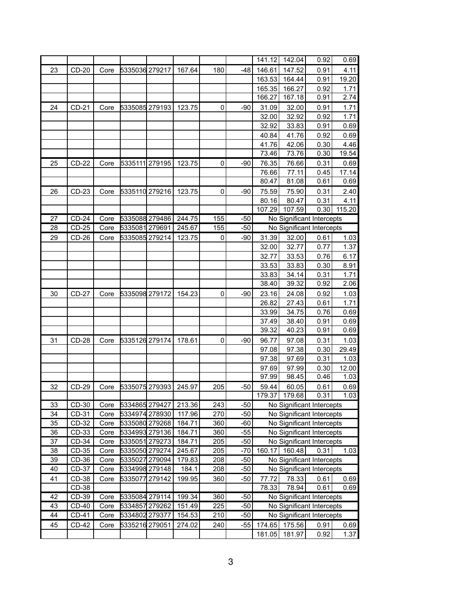|    |              |      |                |        |             |       | 141.12 | 142.04 | 0.92                      | 0.69   |
|----|--------------|------|----------------|--------|-------------|-------|--------|--------|---------------------------|--------|
| 23 | CD-20        | Core | 5335036 279217 | 167.64 | 180         | $-48$ | 146.61 | 147.52 | 0.91                      | 4.11   |
|    |              |      |                |        |             |       | 163.53 | 164.44 | 0.91                      | 19.20  |
|    |              |      |                |        |             |       | 165.35 | 166.27 | 0.92                      | 1.71   |
|    |              |      |                |        |             |       | 166.27 | 167.18 | 0.91                      | 2.74   |
| 24 | $CD-21$      | Core | 5335085 279193 | 123.75 | $\mathbf 0$ | $-90$ | 31.09  | 32.00  | 0.91                      | 1.71   |
|    |              |      |                |        |             |       | 32.00  | 32.92  | 0.92                      | 1.71   |
|    |              |      |                |        |             |       | 32.92  | 33.83  | 0.91                      | 0.69   |
|    |              |      |                |        |             |       | 40.84  | 41.76  | 0.92                      | 0.69   |
|    |              |      |                |        |             |       | 41.76  | 42.06  | 0.30                      | 4.46   |
|    |              |      |                |        |             |       | 73.46  | 73.76  | 0.30                      | 19.54  |
| 25 | CD-22        | Core | 5335111 279195 | 123.75 | $\mathbf 0$ | $-90$ | 76.35  | 76.66  | 0.31                      | 0.69   |
|    |              |      |                |        |             |       | 76.66  | 77.11  | 0.45                      | 17.14  |
|    |              |      |                |        |             |       | 80.47  | 81.08  | 0.61                      | 0.69   |
| 26 | CD-23        | Core | 5335110 279216 | 123.75 | $\mathbf 0$ | $-90$ | 75.59  | 75.90  | 0.31                      | 2.40   |
|    |              |      |                |        |             |       | 80.16  | 80.47  | 0.31                      | 4.11   |
|    |              |      |                |        |             |       | 107.29 | 107.59 | 0.30                      | 115.20 |
| 27 | $CD-24$      | Core | 5335088 279486 | 244.75 | 155         | $-50$ |        |        | No Significant Intercepts |        |
| 28 | $CD-25$      | Core | 5335081 279691 | 245.67 | 155         | $-50$ |        |        | No Significant Intercepts |        |
| 29 | $CD-26$      | Core | 5335085 279214 | 123.75 | 0           | $-90$ | 31.39  | 32.00  | 0.61                      | 1.03   |
|    |              |      |                |        |             |       | 32.00  | 32.77  | 0.77                      | 1.37   |
|    |              |      |                |        |             |       | 32.77  | 33.53  | 0.76                      | 6.17   |
|    |              |      |                |        |             |       | 33.53  | 33.83  | 0.30                      | 8.91   |
|    |              |      |                |        |             |       | 33.83  | 34.14  | 0.31                      | 1.71   |
|    |              |      |                |        |             |       | 38.40  | 39.32  | 0.92                      | 2.06   |
| 30 | <b>CD-27</b> | Core | 5335098 279172 | 154.23 | $\mathbf 0$ | $-90$ | 23.16  | 24.08  | 0.92                      | 1.03   |
|    |              |      |                |        |             |       | 26.82  | 27.43  | 0.61                      | 1.71   |
|    |              |      |                |        |             |       | 33.99  | 34.75  | 0.76                      | 0.69   |
|    |              |      |                |        |             |       | 37.49  | 38.40  | 0.91                      | 0.69   |
|    |              |      |                |        |             |       | 39.32  | 40.23  | 0.91                      | 0.69   |
| 31 | <b>CD-28</b> | Core | 5335126 279174 | 178.61 | 0           | $-90$ | 96.77  | 97.08  | 0.31                      | 1.03   |
|    |              |      |                |        |             |       | 97.08  | 97.38  | 0.30                      | 29.49  |
|    |              |      |                |        |             |       | 97.38  | 97.69  | 0.31                      | 1.03   |
|    |              |      |                |        |             |       | 97.69  | 97.99  | 0.30                      | 12.00  |
|    |              |      |                |        |             |       | 97.99  | 98.45  | 0.46                      | 1.03   |
| 32 | CD-29        | Core | 5335075 279393 | 245.97 | 205         | $-50$ | 59.44  | 60.05  | 0.61                      | 0.69   |
|    |              |      |                |        |             |       | 179.37 | 179.68 | 0.31                      | 1.03   |
| 33 | CD-30        | Core | 5334865 279427 | 213.36 | 243         | $-50$ |        |        | No Significant Intercepts |        |
| 34 | CD-31        | Core | 5334974 278930 | 117.96 | 270         | $-50$ |        |        | No Significant Intercepts |        |
| 35 | CD-32        | Core | 5335080 279268 | 184.71 | 360         | $-60$ |        |        | No Significant Intercepts |        |
| 36 | CD-33        | Core | 5334993 279136 | 184.71 | 360         | $-55$ |        |        | No Significant Intercepts |        |
| 37 | CD-34        | Core | 5335051 279273 | 184.71 | 205         | $-50$ |        |        | No Significant Intercepts |        |
| 38 | CD-35        | Core | 5335050 279274 | 245.67 | 205         | $-70$ | 160.17 | 160.48 | 0.31                      | 1.03   |
| 39 | CD-36        | Core | 5335027 279094 | 179.83 | 208         | $-50$ |        |        | No Significant Intercepts |        |
| 40 | CD-37        | Core | 5334998 279148 | 184.1  | 208         | $-50$ |        |        | No Significant Intercepts |        |
| 41 | CD-38        | Core | 5335077 279142 | 199.95 | 360         | $-50$ | 77.72  | 78.33  | 0.61                      | 0.69   |
|    | CD-38        |      |                |        |             |       | 78.33  | 78.94  | 0.61                      | 0.69   |
| 42 | CD-39        | Core | 5335084 279114 | 199.34 | 360         | $-50$ |        |        | No Significant Intercepts |        |
| 43 | <b>CD-40</b> | Core | 5334857 279262 | 151.49 | 225         | $-50$ |        |        | No Significant Intercepts |        |
| 44 | <b>CD-41</b> | Core | 5334802 279377 | 154.53 | 210         | $-50$ |        |        | No Significant Intercepts |        |
| 45 | CD-42        | Core | 5335216 279051 | 274.02 | 240         | $-55$ | 174.65 | 175.56 | 0.91                      | 0.69   |
|    |              |      |                |        |             |       | 181.05 | 181.97 | 0.92                      | 1.37   |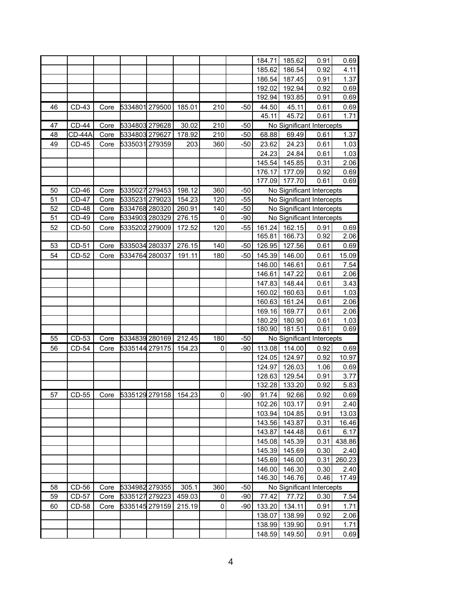|    |              |      |                |        |           |       | 184.71 | 185.62        | 0.91                      | 0.69   |
|----|--------------|------|----------------|--------|-----------|-------|--------|---------------|---------------------------|--------|
|    |              |      |                |        |           |       | 185.62 | 186.54        | 0.92                      | 4.11   |
|    |              |      |                |        |           |       | 186.54 | 187.45        | 0.91                      | 1.37   |
|    |              |      |                |        |           |       | 192.02 | 192.94        | 0.92                      | 0.69   |
|    |              |      |                |        |           |       | 192.94 | 193.85        | 0.91                      | 0.69   |
| 46 | $CD-43$      | Core | 5334801 279500 | 185.01 | 210       | $-50$ | 44.50  | 45.11         | 0.61                      | 0.69   |
|    |              |      |                |        |           |       | 45.11  | 45.72         | 0.61                      | 1.71   |
| 47 | <b>CD-44</b> | Core | 5334803 279628 | 30.02  | 210       | $-50$ |        |               | No Significant Intercepts |        |
| 48 | CD-44A       | Core | 5334803 279627 | 178.92 | 210       | $-50$ | 68.88  | 69.49         | 0.61                      | 1.37   |
| 49 | $CD-45$      | Core | 5335031 279359 | 203    | 360       | $-50$ | 23.62  | 24.23         | 0.61                      | 1.03   |
|    |              |      |                |        |           |       | 24.23  | 24.84         | 0.61                      | 1.03   |
|    |              |      |                |        |           |       | 145.54 | 145.85        | 0.31                      | 2.06   |
|    |              |      |                |        |           |       | 176.17 | 177.09        | 0.92                      | 0.69   |
|    |              |      |                |        |           |       | 177.09 | 177.70        | 0.61                      | 0.69   |
| 50 | $CD-46$      | Core | 5335027 279453 | 198.12 | 360       | $-50$ |        |               | No Significant Intercepts |        |
| 51 | <b>CD-47</b> | Core | 5335231 279023 | 154.23 | 120       | $-55$ |        |               | No Significant Intercepts |        |
| 52 | <b>CD-48</b> | Core | 5334768 280320 | 260.91 | 140       | $-50$ |        |               | No Significant Intercepts |        |
| 51 | CD-49        | Core | 5334903 280329 | 276.15 | $\pmb{0}$ | $-90$ |        |               | No Significant Intercepts |        |
| 52 | CD-50        | Core | 5335202 279009 | 172.52 | 120       | $-55$ | 161.24 | 162.15        | 0.91                      | 0.69   |
|    |              |      |                |        |           |       | 165.81 | 166.73        | 0.92                      | 2.06   |
| 53 | CD-51        | Core | 5335034 280337 | 276.15 | 140       | $-50$ | 126.95 | 127.56        | 0.61                      | 0.69   |
| 54 | CD-52        |      | 5334764 280037 | 191.11 |           |       |        |               |                           |        |
|    |              | Core |                |        | 180       | $-50$ | 145.39 | 146.00        | 0.61                      | 15.09  |
|    |              |      |                |        |           |       | 146.00 | 146.61        | 0.61                      | 7.54   |
|    |              |      |                |        |           |       | 146.61 | 147.22        | 0.61                      | 2.06   |
|    |              |      |                |        |           |       | 147.83 | 148.44        | 0.61                      | 3.43   |
|    |              |      |                |        |           |       | 160.02 | 160.63        | 0.61                      | 1.03   |
|    |              |      |                |        |           |       | 160.63 | 161.24        | 0.61                      | 2.06   |
|    |              |      |                |        |           |       | 169.16 | 169.77        | 0.61                      | 2.06   |
|    |              |      |                |        |           |       | 180.29 | 180.90        | 0.61                      | 1.03   |
|    |              |      |                |        |           |       | 180.90 | 181.51        | 0.61                      | 0.69   |
| 55 | $CD-53$      | Core | 5334839 280169 | 212.45 | 180       | $-50$ |        |               | No Significant Intercepts |        |
| 56 | CD-54        | Core | 5335144 279175 | 154.23 | 0         | $-90$ | 113.08 | 114.00        | 0.92                      | 0.69   |
|    |              |      |                |        |           |       |        | 124.05 124.97 | 0.92                      | 10.97  |
|    |              |      |                |        |           |       | 124.97 | 126.03        | 1.06                      | 0.69   |
|    |              |      |                |        |           |       | 128.63 | 129.54        | 0.91                      | 3.77   |
|    |              |      |                |        |           |       | 132.28 | 133.20        | 0.92                      | 5.83   |
| 57 | CD-55        | Core | 5335129 279158 | 154.23 | 0         | $-90$ | 91.74  | 92.66         | 0.92                      | 0.69   |
|    |              |      |                |        |           |       | 102.26 | 103.17        | 0.91                      | 2.40   |
|    |              |      |                |        |           |       | 103.94 | 104.85        | 0.91                      | 13.03  |
|    |              |      |                |        |           |       | 143.56 | 143.87        | 0.31                      | 16.46  |
|    |              |      |                |        |           |       | 143.87 | 144.48        | 0.61                      | 6.17   |
|    |              |      |                |        |           |       | 145.08 | 145.39        | 0.31                      | 438.86 |
|    |              |      |                |        |           |       | 145.39 | 145.69        | 0.30                      | 2.40   |
|    |              |      |                |        |           |       | 145.69 | 146.00        | 0.31                      | 260.23 |
|    |              |      |                |        |           |       | 146.00 | 146.30        | 0.30                      | 2.40   |
|    |              |      |                |        |           |       | 146.30 | 146.76        | 0.46                      | 17.49  |
| 58 | CD-56        | Core | 5334982 279355 | 305.1  | 360       | $-50$ |        |               | No Significant Intercepts |        |
| 59 | CD-57        | Core | 5335127 279223 | 459.03 | 0         | $-90$ | 77.42  | 77.72         | 0.30                      | 7.54   |
| 60 | CD-58        | Core | 5335145 279159 | 215.19 | 0         | $-90$ | 133.20 | 134.11        | 0.91                      | 1.71   |
|    |              |      |                |        |           |       | 138.07 | 138.99        | 0.92                      | 2.06   |
|    |              |      |                |        |           |       | 138.99 | 139.90        | 0.91                      | 1.71   |
|    |              |      |                |        |           |       | 148.59 | 149.50        | 0.91                      | 0.69   |
|    |              |      |                |        |           |       |        |               |                           |        |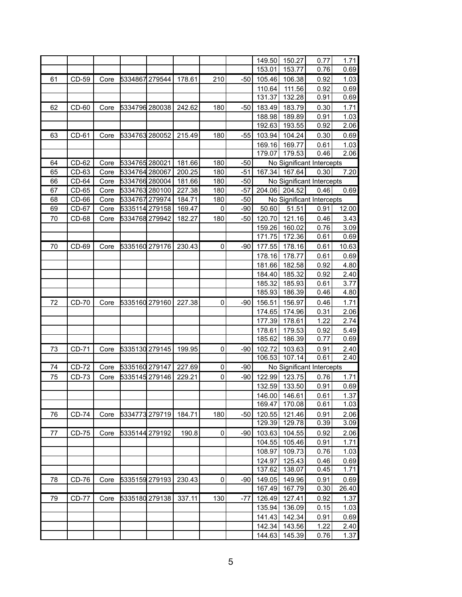|    |              |      |                |        |             |       | 149.50           | 150.27           | 0.77                      | 1.71         |
|----|--------------|------|----------------|--------|-------------|-------|------------------|------------------|---------------------------|--------------|
|    |              |      |                |        |             |       | 153.01           | 153.77           | 0.76                      | 0.69         |
| 61 | CD-59        | Core | 5334867 279544 | 178.61 | 210         | $-50$ | 105.46           | 106.38           | 0.92                      | 1.03         |
|    |              |      |                |        |             |       | 110.64           | 111.56           | 0.92                      | 0.69         |
|    |              |      |                |        |             |       | 131.37           | 132.28           | 0.91                      | 0.69         |
| 62 | $CD-60$      | Core | 5334796 280038 | 242.62 | 180         | $-50$ | 183.49           | 183.79           | 0.30                      | 1.71         |
|    |              |      |                |        |             |       | 188.98           | 189.89           | 0.91                      | 1.03         |
|    |              |      |                |        |             |       | 192.63           | 193.55           | 0.92                      | 2.06         |
| 63 | CD-61        | Core | 5334763 280052 | 215.49 | 180         | $-55$ | 103.94           | 104.24           | 0.30                      | 0.69         |
|    |              |      |                |        |             |       | 169.16           | 169.77           | 0.61                      | 1.03         |
|    |              |      |                |        |             |       | 179.07           | 179.53           | 0.46                      | 2.06         |
| 64 | $CD-62$      | Core | 5334765 280021 | 181.66 | 180         | $-50$ |                  |                  | No Significant Intercepts |              |
| 65 | CD-63        | Core | 5334764 280067 | 200.25 | 180         | $-51$ | 167.34           | 167.64           | 0.30                      | 7.20         |
| 66 | $CD-64$      | Core | 5334766 280004 | 181.66 | 180         | $-50$ |                  |                  | No Significant Intercepts |              |
| 67 | CD-65        | Core | 5334763 280100 | 227.38 | 180         | $-57$ |                  | 204.06 204.52    | 0.46                      | 0.69         |
| 68 | $CD-66$      | Core | 5334767 279974 | 184.71 | 180         | $-50$ |                  |                  | No Significant Intercepts |              |
| 69 | CD-67        | Core | 5335114 279158 | 169.47 | $\pmb{0}$   | $-90$ | 50.60            | 51.51            | 0.91                      | 12.00        |
| 70 | CD-68        | Core | 5334768 279942 | 182.27 | 180         | $-50$ | 120.70           | 121.16           | 0.46                      | 3.43         |
|    |              |      |                |        |             |       | 159.26           | 160.02           | 0.76                      | 3.09         |
|    |              |      |                |        |             |       | 171.75           | 172.36           | 0.61                      | 0.69         |
| 70 | CD-69        | Core | 5335160 279176 | 230.43 | $\mathbf 0$ | $-90$ | 177.55           | 178.16           | 0.61                      | 10.63        |
|    |              |      |                |        |             |       | 178.16           | 178.77           | 0.61                      | 0.69         |
|    |              |      |                |        |             |       | 181.66           | 182.58           | 0.92                      | 4.80         |
|    |              |      |                |        |             |       | 184.40           | 185.32           | 0.92                      | 2.40         |
|    |              |      |                |        |             |       | 185.32           | 185.93           | 0.61                      | 3.77         |
|    |              |      |                |        |             |       | 185.93           | 186.39           | 0.46                      | 4.80         |
| 72 | <b>CD-70</b> | Core | 5335160 279160 | 227.38 | $\mathbf 0$ | $-90$ | 156.51           | 156.97           | 0.46                      | 1.71         |
|    |              |      |                |        |             |       | 174.65           | 174.96           | 0.31                      | 2.06         |
|    |              |      |                |        |             |       | 177.39           | 178.61           | 1.22                      | 2.74         |
|    |              |      |                |        |             |       | 178.61           | 179.53           | 0.92                      | 5.49         |
|    |              |      |                |        |             |       | 185.62           | 186.39           | 0.77                      | 0.69         |
| 73 | CD-71        | Core | 5335130 279145 | 199.95 | $\mathbf 0$ | $-90$ | 102.72           | 103.63           | 0.91                      | 2.40         |
|    |              |      |                |        |             |       | 106.53           | 107.14           | 0.61                      | 2.40         |
| 74 | CD-72        | Core | 5335160 279147 | 227.69 | $\pmb{0}$   | $-90$ |                  |                  | No Significant Intercepts |              |
| 75 | CD-73        | Core | 5335145 279146 | 229.21 | $\pmb{0}$   | -90   | 122.99           | 123.75           | 0.76                      | 1.71         |
|    |              |      |                |        |             |       | 132.59           | 133.50           | 0.91                      | 0.69         |
|    |              |      |                |        |             |       | 146.00           | 146.61           | 0.61                      | 1.37         |
|    |              |      |                |        |             |       | 169.47           | 170.08           | 0.61                      | 1.03         |
| 76 |              |      |                | 184.71 | 180         |       | 120.55           | 121.46           | 0.91                      | 2.06         |
|    | <b>CD-74</b> | Core | 5334773 279719 |        |             | $-50$ | 129.39           | 129.78           | 0.39                      | 3.09         |
|    |              |      | 5335144 279192 |        |             |       |                  |                  |                           |              |
| 77 | <b>CD-75</b> | Core |                | 190.8  | $\pmb{0}$   | $-90$ | 103.63           | 104.55           | 0.92                      | 2.06         |
|    |              |      |                |        |             |       | 104.55           | 105.46           | 0.91                      | 1.71         |
|    |              |      |                |        |             |       | 108.97           | 109.73           | 0.76                      | 1.03         |
|    |              |      |                |        |             |       | 124.97           | 125.43           | 0.46                      | 0.69         |
|    |              |      |                |        |             |       | 137.62           | 138.07           | 0.45                      | 1.71         |
| 78 | CD-76        | Core | 5335159 279193 | 230.43 | $\pmb{0}$   | $-90$ | 149.05           | 149.96           | 0.91                      | 0.69         |
|    |              |      |                |        |             |       | 167.49           | 167.79           | 0.30                      | 26.40        |
| 79 | <b>CD-77</b> | Core | 5335180 279138 | 337.11 | 130         | -77   | 126.49           | 127.41           | 0.92                      | 1.37         |
|    |              |      |                |        |             |       | 135.94           | 136.09           | 0.15                      | 1.03         |
|    |              |      |                |        |             |       | 141.43           | 142.34           | 0.91                      | 0.69         |
|    |              |      |                |        |             |       |                  |                  |                           |              |
|    |              |      |                |        |             |       | 142.34<br>144.63 | 143.56<br>145.39 | 1.22<br>0.76              | 2.40<br>1.37 |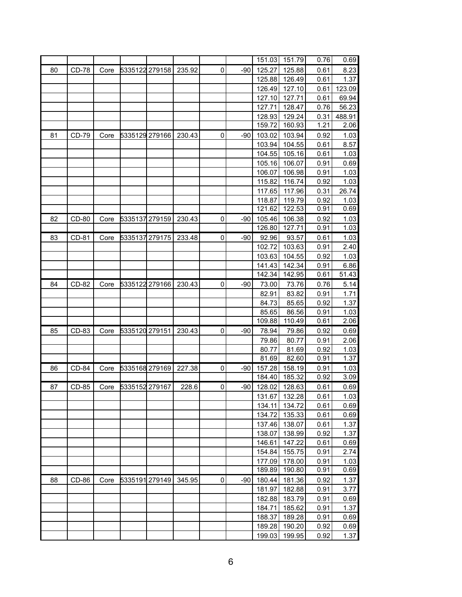|    |              |      |                |        |   |       | 151.03 | 151.79        | 0.76 | 0.69   |
|----|--------------|------|----------------|--------|---|-------|--------|---------------|------|--------|
| 80 | <b>CD-78</b> | Core | 5335122 279158 | 235.92 | 0 | $-90$ | 125.27 | 125.88        | 0.61 | 8.23   |
|    |              |      |                |        |   |       | 125.88 | 126.49        | 0.61 | 1.37   |
|    |              |      |                |        |   |       | 126.49 | 127.10        | 0.61 | 123.09 |
|    |              |      |                |        |   |       | 127.10 | 127.71        | 0.61 | 69.94  |
|    |              |      |                |        |   |       | 127.71 | 128.47        | 0.76 | 56.23  |
|    |              |      |                |        |   |       | 128.93 | 129.24        | 0.31 | 488.91 |
|    |              |      |                |        |   |       | 159.72 | 160.93        | 1.21 | 2.06   |
| 81 | CD-79        | Core | 5335129 279166 | 230.43 | 0 | $-90$ | 103.02 | 103.94        | 0.92 | 1.03   |
|    |              |      |                |        |   |       | 103.94 | 104.55        | 0.61 | 8.57   |
|    |              |      |                |        |   |       | 104.55 | 105.16        | 0.61 | 1.03   |
|    |              |      |                |        |   |       | 105.16 | 106.07        | 0.91 | 0.69   |
|    |              |      |                |        |   |       | 106.07 | 106.98        | 0.91 | 1.03   |
|    |              |      |                |        |   |       | 115.82 | 116.74        | 0.92 | 1.03   |
|    |              |      |                |        |   |       | 117.65 | 117.96        | 0.31 | 26.74  |
|    |              |      |                |        |   |       | 118.87 | 119.79        | 0.92 | 1.03   |
|    |              |      |                |        |   |       | 121.62 | 122.53        | 0.91 | 0.69   |
| 82 | CD-80        | Core | 5335137 279159 | 230.43 | 0 | $-90$ | 105.46 | 106.38        | 0.92 | 1.03   |
|    |              |      |                |        |   |       | 126.80 | 127.71        | 0.91 | 1.03   |
| 83 | CD-81        | Core | 5335137 279175 | 233.48 | 0 | $-90$ | 92.96  | 93.57         | 0.61 | 1.03   |
|    |              |      |                |        |   |       | 102.72 | 103.63        | 0.91 | 2.40   |
|    |              |      |                |        |   |       | 103.63 | 104.55        | 0.92 | 1.03   |
|    |              |      |                |        |   |       | 141.43 | 142.34        | 0.91 | 6.86   |
|    |              |      |                |        |   |       | 142.34 | 142.95        | 0.61 | 51.43  |
| 84 | CD-82        | Core | 5335122 279166 | 230.43 | 0 | $-90$ | 73.00  | 73.76         | 0.76 | 5.14   |
|    |              |      |                |        |   |       | 82.91  | 83.82         | 0.91 | 1.71   |
|    |              |      |                |        |   |       | 84.73  | 85.65         | 0.92 | 1.37   |
|    |              |      |                |        |   |       | 85.65  | 86.56         | 0.91 | 1.03   |
|    |              |      |                |        |   |       | 109.88 | 110.49        | 0.61 | 2.06   |
| 85 | CD-83        | Core | 5335120 279151 | 230.43 | 0 | $-90$ | 78.94  | 79.86         | 0.92 | 0.69   |
|    |              |      |                |        |   |       | 79.86  | 80.77         | 0.91 | 2.06   |
|    |              |      |                |        |   |       | 80.77  | 81.69         | 0.92 | 1.03   |
|    |              |      |                |        |   |       | 81.69  | 82.60         | 0.91 | 1.37   |
| 86 | CD-84        | Core | 5335168 279169 | 227.38 | 0 | -90   | 157.28 | 158.19        | 0.91 | 1.03   |
|    |              |      |                |        |   |       | 184.40 | 185.32        | 0.92 | 3.09   |
| 87 | CD-85        | Core | 5335152 279167 | 228.6  | 0 | $-90$ | 128.02 | 128.63        | 0.61 | 0.69   |
|    |              |      |                |        |   |       | 131.67 | 132.28        | 0.61 | 1.03   |
|    |              |      |                |        |   |       | 134.11 | 134.72        | 0.61 | 0.69   |
|    |              |      |                |        |   |       |        | 134.72 135.33 | 0.61 | 0.69   |
|    |              |      |                |        |   |       |        | 137.46 138.07 | 0.61 | 1.37   |
|    |              |      |                |        |   |       | 138.07 | 138.99        | 0.92 | 1.37   |
|    |              |      |                |        |   |       | 146.61 | 147.22        | 0.61 | 0.69   |
|    |              |      |                |        |   |       |        | 154.84 155.75 | 0.91 | 2.74   |
|    |              |      |                |        |   |       | 177.09 | 178.00        | 0.91 | 1.03   |
|    |              |      |                |        |   |       | 189.89 | 190.80        | 0.91 | 0.69   |
| 88 | CD-86        | Core | 5335191 279149 | 345.95 | 0 | -90   | 180.44 | 181.36        | 0.92 | 1.37   |
|    |              |      |                |        |   |       | 181.97 | 182.88        | 0.91 | 3.77   |
|    |              |      |                |        |   |       | 182.88 | 183.79        | 0.91 | 0.69   |
|    |              |      |                |        |   |       | 184.71 | 185.62        | 0.91 | 1.37   |
|    |              |      |                |        |   |       | 188.37 | 189.28        | 0.91 | 0.69   |
|    |              |      |                |        |   |       | 189.28 | 190.20        | 0.92 | 0.69   |
|    |              |      |                |        |   |       | 199.03 | 199.95        | 0.92 | 1.37   |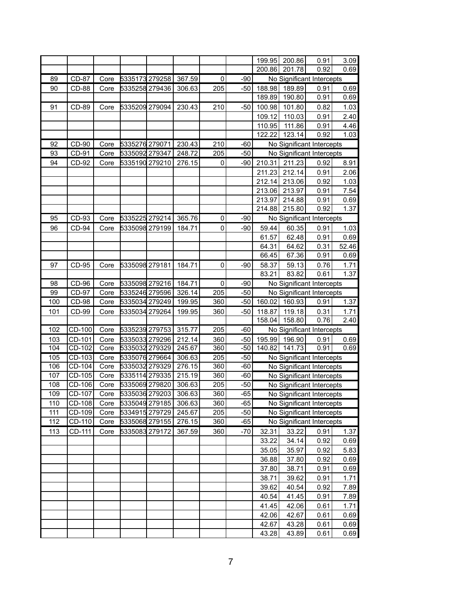|     |              |      |                       |        |             |       | 199.95 | 200.86 | 0.91                      | 3.09  |
|-----|--------------|------|-----------------------|--------|-------------|-------|--------|--------|---------------------------|-------|
|     |              |      |                       |        |             |       | 200.86 | 201.78 | 0.92                      | 0.69  |
| 89  | <b>CD-87</b> | Core | 5335173 279258        | 367.59 | 0           | $-90$ |        |        | No Significant Intercepts |       |
| 90  | <b>CD-88</b> | Core | 5335258 279436        | 306.63 | 205         | $-50$ | 188.98 | 189.89 | 0.91                      | 0.69  |
|     |              |      |                       |        |             |       | 189.89 | 190.80 | 0.91                      | 0.69  |
| 91  | CD-89        | Core | 5335209 279094        | 230.43 | 210         | $-50$ | 100.98 | 101.80 | 0.82                      | 1.03  |
|     |              |      |                       |        |             |       | 109.12 | 110.03 | 0.91                      | 2.40  |
|     |              |      |                       |        |             |       | 110.95 | 111.86 | 0.91                      | 4.46  |
|     |              |      |                       |        |             |       | 122.22 | 123.14 | 0.92                      | 1.03  |
| 92  | CD-90        | Core | 5335276 279071        | 230.43 | 210         | $-60$ |        |        | No Significant Intercepts |       |
| 93  | CD-91        | Core | 5335092 279347        | 248.72 | 205         | $-50$ |        |        | No Significant Intercepts |       |
| 94  | CD-92        | Core | 5335190 279210        | 276.15 | 0           | -90   | 210.31 | 211.23 | 0.92                      | 8.91  |
|     |              |      |                       |        |             |       | 211.23 | 212.14 | 0.91                      | 2.06  |
|     |              |      |                       |        |             |       | 212.14 | 213.06 | 0.92                      | 1.03  |
|     |              |      |                       |        |             |       | 213.06 | 213.97 | 0.91                      | 7.54  |
|     |              |      |                       |        |             |       | 213.97 | 214.88 | 0.91                      | 0.69  |
|     |              |      |                       |        |             |       | 214.88 | 215.80 | 0.92                      | 1.37  |
| 95  | CD-93        | Core | 5335225 279214        | 365.76 | $\mathbf 0$ | $-90$ |        |        | No Significant Intercepts |       |
| 96  | <b>CD-94</b> | Core | 5335098 279199        | 184.71 | $\mathbf 0$ | $-90$ | 59.44  | 60.35  | 0.91                      | 1.03  |
|     |              |      |                       |        |             |       | 61.57  | 62.48  | 0.91                      | 0.69  |
|     |              |      |                       |        |             |       | 64.31  | 64.62  | 0.31                      | 52.46 |
|     |              |      |                       |        |             |       | 66.45  | 67.36  | 0.91                      | 0.69  |
| 97  | CD-95        | Core | 5335098 279181        | 184.71 | 0           | $-90$ | 58.37  | 59.13  | 0.76                      | 1.71  |
|     |              |      |                       |        |             |       | 83.21  | 83.82  | 0.61                      | 1.37  |
| 98  | CD-96        | Core | 5335098 279216        | 184.71 | $\pmb{0}$   | $-90$ |        |        | No Significant Intercepts |       |
| 99  | CD-97        | Core | 5335246 279596        | 326.14 | 205         | $-50$ |        |        | No Significant Intercepts |       |
| 100 | <b>CD-98</b> | Core | 5335034 279249        | 199.95 | 360         | $-50$ | 160.02 | 160.93 | 0.91                      | 1.37  |
| 101 | CD-99        | Core | 5335034 279264        | 199.95 | 360         | $-50$ | 118.87 | 119.18 | 0.31                      | 1.71  |
|     |              |      |                       |        |             |       | 158.04 | 158.80 | 0.76                      | 2.40  |
| 102 | CD-100       | Core | 5335239 279753        | 315.77 | 205         | $-60$ |        |        | No Significant Intercepts |       |
| 103 | CD-101       | Core | 5335033 279296        | 212.14 | 360         | $-50$ | 195.99 | 196.90 | 0.91                      | 0.69  |
| 104 | CD-102       | Core | 5335032 279329        | 245.67 | 360         | $-50$ | 140.82 | 141.73 | 0.91                      | 0.69  |
| 105 | $ CD-103 $   | Core | 5335076 279664 306.63 |        | 205         | $-50$ |        |        | No Significant Intercepts |       |
| 106 | CD-104       | Core | 5335032 279329        | 276.15 | 360         | $-60$ |        |        | No Significant Intercepts |       |
| 107 | CD-105       | Core | 5335114 279335        | 215.19 | 360         | $-60$ |        |        | No Significant Intercepts |       |
| 108 | CD-106       | Core | 5335069 279820        | 306.63 | 205         | $-50$ |        |        | No Significant Intercepts |       |
| 109 | CD-107       | Core | 5335036 279203        | 306.63 | 360         | $-65$ |        |        | No Significant Intercepts |       |
| 110 | CD-108       | Core | 5335049 279185        | 306.63 | 360         | $-65$ |        |        | No Significant Intercepts |       |
| 111 | CD-109       | Core | 5334915 279729        | 245.67 | 205         | $-50$ |        |        | No Significant Intercepts |       |
| 112 | CD-110       | Core | 5335068 279155        | 276.15 | 360         | $-65$ |        |        | No Significant Intercepts |       |
| 113 | CD-111       | Core | 5335083 279172        | 367.59 | 360         | $-70$ | 32.31  | 33.22  | 0.91                      | 1.37  |
|     |              |      |                       |        |             |       | 33.22  | 34.14  | 0.92                      | 0.69  |
|     |              |      |                       |        |             |       | 35.05  | 35.97  | 0.92                      | 5.83  |
|     |              |      |                       |        |             |       | 36.88  | 37.80  | 0.92                      | 0.69  |
|     |              |      |                       |        |             |       | 37.80  | 38.71  | 0.91                      | 0.69  |
|     |              |      |                       |        |             |       | 38.71  | 39.62  | 0.91                      | 1.71  |
|     |              |      |                       |        |             |       | 39.62  | 40.54  | 0.92                      | 7.89  |
|     |              |      |                       |        |             |       | 40.54  | 41.45  | 0.91                      | 7.89  |
|     |              |      |                       |        |             |       | 41.45  | 42.06  | 0.61                      | 1.71  |
|     |              |      |                       |        |             |       | 42.06  | 42.67  | 0.61                      | 0.69  |
|     |              |      |                       |        |             |       | 42.67  | 43.28  | 0.61                      | 0.69  |
|     |              |      |                       |        |             |       | 43.28  | 43.89  | 0.61                      | 0.69  |
|     |              |      |                       |        |             |       |        |        |                           |       |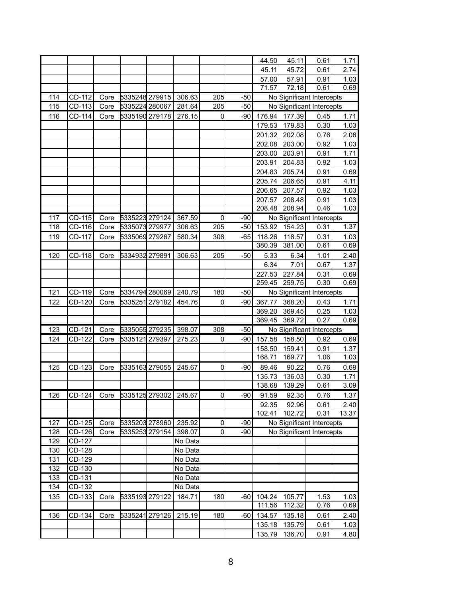|     |          |      |                |         |             |       | 44.50  | 45.11  | 0.61                      | 1.71  |
|-----|----------|------|----------------|---------|-------------|-------|--------|--------|---------------------------|-------|
|     |          |      |                |         |             |       | 45.11  | 45.72  | 0.61                      | 2.74  |
|     |          |      |                |         |             |       | 57.00  | 57.91  | 0.91                      | 1.03  |
|     |          |      |                |         |             |       | 71.57  | 72.18  | 0.61                      | 0.69  |
| 114 | CD-112   | Core | 5335248 279915 | 306.63  | 205         | $-50$ |        |        | No Significant Intercepts |       |
| 115 | CD-113   | Core | 5335224 280067 | 281.64  | 205         | $-50$ |        |        | No Significant Intercepts |       |
| 116 | CD-114   | Core | 5335190 279178 | 276.15  | $\mathbf 0$ | $-90$ | 176.94 | 177.39 | 0.45                      | 1.71  |
|     |          |      |                |         |             |       | 179.53 | 179.83 | 0.30                      | 1.03  |
|     |          |      |                |         |             |       | 201.32 | 202.08 | 0.76                      | 2.06  |
|     |          |      |                |         |             |       | 202.08 | 203.00 | 0.92                      | 1.03  |
|     |          |      |                |         |             |       | 203.00 | 203.91 | 0.91                      | 1.71  |
|     |          |      |                |         |             |       | 203.91 | 204.83 | 0.92                      | 1.03  |
|     |          |      |                |         |             |       | 204.83 | 205.74 | 0.91                      | 0.69  |
|     |          |      |                |         |             |       | 205.74 | 206.65 | 0.91                      | 4.11  |
|     |          |      |                |         |             |       | 206.65 | 207.57 | 0.92                      | 1.03  |
|     |          |      |                |         |             |       | 207.57 | 208.48 | 0.91                      | 1.03  |
|     |          |      |                |         |             |       | 208.48 | 208.94 | 0.46                      | 1.03  |
| 117 | CD-115   | Core | 5335223 279124 | 367.59  | $\mathbf 0$ | $-90$ |        |        | No Significant Intercepts |       |
| 118 | $CD-116$ | Core | 5335073 279977 | 306.63  | 205         | $-50$ | 153.92 | 154.23 | 0.31                      | 1.37  |
| 119 | CD-117   | Core | 5335069 279267 | 580.34  | 308         | $-65$ | 118.26 | 118.57 | 0.31                      | 1.03  |
|     |          |      |                |         |             |       | 380.39 | 381.00 | 0.61                      | 0.69  |
| 120 | CD-118   | Core | 5334932 279891 | 306.63  | 205         | $-50$ | 5.33   | 6.34   | 1.01                      | 2.40  |
|     |          |      |                |         |             |       | 6.34   | 7.01   | 0.67                      | 1.37  |
|     |          |      |                |         |             |       | 227.53 | 227.84 | 0.31                      | 0.69  |
|     |          |      |                |         |             |       | 259.45 | 259.75 | 0.30                      | 0.69  |
| 121 | CD-119   | Core | 5334794 280069 | 240.79  | 180         | $-50$ |        |        | No Significant Intercepts |       |
| 122 | CD-120   | Core | 5335251 279182 | 454.76  | $\mathbf 0$ | $-90$ | 367.77 | 368.20 | 0.43                      | 1.71  |
|     |          |      |                |         |             |       | 369.20 | 369.45 | 0.25                      | 1.03  |
|     |          |      |                |         |             |       | 369.45 | 369.72 | 0.27                      | 0.69  |
| 123 | CD-121   | Core | 5335055 279235 | 398.07  | 308         | $-50$ |        |        | No Significant Intercepts |       |
| 124 | CD-122   | Core | 5335121 279397 | 275.23  | $\mathbf 0$ | $-90$ | 157.58 | 158.50 | 0.92                      | 0.69  |
|     |          |      |                |         |             |       | 158.50 | 159.41 | 0.91                      | 1.37  |
|     |          |      |                |         |             |       | 168.71 | 169.77 | 1.06                      | 1.03  |
| 125 | CD-123   | Core | 5335163 279055 | 245.67  | $\mathbf 0$ | $-90$ | 89.46  | 90.22  | 0.76                      | 0.69  |
|     |          |      |                |         |             |       | 135.73 | 136.03 | 0.30                      | 1.71  |
|     |          |      |                |         |             |       | 138.68 | 139.29 | 0.61                      | 3.09  |
| 126 | CD-124   | Core | 5335125 279302 | 245.67  | $\mathbf 0$ | $-90$ | 91.59  | 92.35  | 0.76                      | 1.37  |
|     |          |      |                |         |             |       | 92.35  | 92.96  | 0.61                      | 2.40  |
|     |          |      |                |         |             |       | 102.41 | 102.72 | 0.31                      | 13.37 |
| 127 | CD-125   | Core | 5335203 278960 | 235.92  | $\pmb{0}$   | $-90$ |        |        | No Significant Intercepts |       |
| 128 | CD-126   | Core | 5335253 279154 | 398.07  | 0           | $-90$ |        |        | No Significant Intercepts |       |
| 129 | CD-127   |      |                | No Data |             |       |        |        |                           |       |
| 130 | CD-128   |      |                | No Data |             |       |        |        |                           |       |
| 131 | CD-129   |      |                | No Data |             |       |        |        |                           |       |
| 132 | CD-130   |      |                | No Data |             |       |        |        |                           |       |
| 133 | CD-131   |      |                | No Data |             |       |        |        |                           |       |
| 134 | CD-132   |      |                | No Data |             |       |        |        |                           |       |
| 135 | CD-133   | Core | 5335193 279122 | 184.71  | 180         | $-60$ | 104.24 | 105.77 | 1.53                      | 1.03  |
|     |          |      |                |         |             |       | 111.56 | 112.32 | 0.76                      | 0.69  |
| 136 | CD-134   | Core | 5335241 279126 | 215.19  | 180         | $-60$ | 134.57 | 135.18 | 0.61                      | 2.40  |
|     |          |      |                |         |             |       | 135.18 | 135.79 | 0.61                      | 1.03  |
|     |          |      |                |         |             |       | 135.79 | 136.70 | 0.91                      | 4.80  |
|     |          |      |                |         |             |       |        |        |                           |       |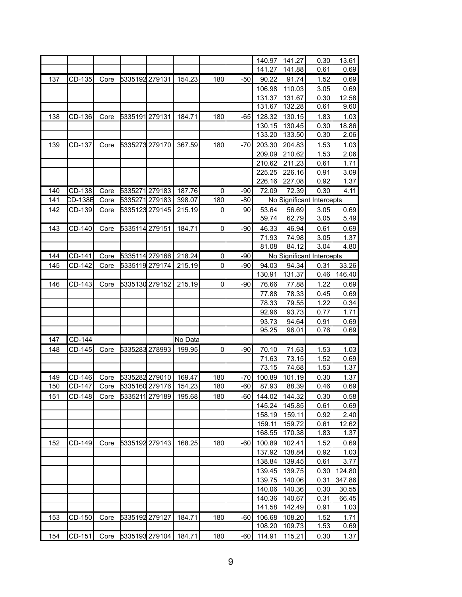|     |         |      |                |         |             |       | 140.97           | 141.27           | 0.30                      | 13.61         |
|-----|---------|------|----------------|---------|-------------|-------|------------------|------------------|---------------------------|---------------|
|     |         |      |                |         |             |       | 141.27           | 141.88           | 0.61                      | 0.69          |
|     |         |      |                |         |             |       |                  |                  |                           |               |
| 137 | CD-135  | Core | 5335192 279131 | 154.23  | 180         | -50   | 90.22<br>106.98  | 91.74            | 1.52                      | 0.69          |
|     |         |      |                |         |             |       |                  | 110.03           | 3.05                      | 0.69          |
|     |         |      |                |         |             |       | 131.37<br>131.67 | 131.67<br>132.28 | 0.30<br>0.61              | 12.58<br>9.60 |
|     |         |      |                |         |             |       |                  |                  |                           |               |
| 138 | CD-136  | Core | 5335191 279131 | 184.71  | 180         | $-65$ | 128.32           | 130.15           | 1.83                      | 1.03          |
|     |         |      |                |         |             |       | 130.15           | 130.45           | 0.30<br>0.30              | 18.86         |
|     |         |      |                |         |             |       | 133.20           | 133.50           |                           | 2.06          |
| 139 | CD-137  | Core | 5335273 279170 | 367.59  | 180         | $-70$ | 203.30           | 204.83           | 1.53                      | 1.03          |
|     |         |      |                |         |             |       | 209.09           | 210.62           | 1.53                      | 2.06          |
|     |         |      |                |         |             |       | 210.62           | 211.23           | 0.61                      | 1.71          |
|     |         |      |                |         |             |       | 225.25           | 226.16           | 0.91                      | 3.09          |
|     |         |      |                |         |             |       | 226.16           | 227.08           | 0.92                      | 1.37          |
| 140 | CD-138  | Core | 5335271 279183 | 187.76  | $\pmb{0}$   | $-90$ | 72.09            | 72.39            | 0.30                      | 4.11          |
| 141 | CD-138B | Core | 5335271 279183 | 398.07  | 180         | $-80$ |                  |                  | No Significant Intercepts |               |
| 142 | CD-139  | Core | 5335123 279145 | 215.19  | $\mathbf 0$ | 90    | 53.64            | 56.69            | 3.05                      | 0.69          |
|     |         |      |                |         |             |       | 59.74            | 62.79            | 3.05                      | 5.49          |
| 143 | CD-140  | Core | 5335114 279151 | 184.71  | $\mathbf 0$ | $-90$ | 46.33            | 46.94            | 0.61                      | 0.69          |
|     |         |      |                |         |             |       | 71.93            | 74.98            | 3.05                      | 1.37          |
|     |         |      |                |         |             |       | 81.08            | 84.12            | 3.04                      | 4.80          |
| 144 | CD-141  | Core | 5335114 279166 | 218.24  | $\pmb{0}$   | $-90$ |                  |                  | No Significant Intercepts |               |
| 145 | CD-142  | Core | 5335119 279174 | 215.19  | 0           | $-90$ | 94.03            | 94.34            | 0.31                      | 33.26         |
|     |         |      |                |         |             |       | 130.91           | 131.37           | 0.46                      | 146.40        |
| 146 | CD-143  | Core | 5335130 279152 | 215.19  | 0           | $-90$ | 76.66            | 77.88            | 1.22                      | 0.69          |
|     |         |      |                |         |             |       | 77.88            | 78.33            | 0.45                      | 0.69          |
|     |         |      |                |         |             |       | 78.33            | 79.55            | 1.22                      | 0.34          |
|     |         |      |                |         |             |       | 92.96            | 93.73            | 0.77                      | 1.71          |
|     |         |      |                |         |             |       | 93.73            | 94.64            | 0.91                      | 0.69          |
|     |         |      |                |         |             |       | 95.25            | 96.01            | 0.76                      | 0.69          |
| 147 | CD-144  |      |                | No Data |             |       |                  |                  |                           |               |
| 148 | CD-145  | Core | 5335283 278993 | 199.95  | 0           | $-90$ | 70.10            | 71.63            | 1.53                      | 1.03          |
|     |         |      |                |         |             |       | 71.63            | 73.15            | 1.52                      | 0.69          |
|     |         |      |                |         |             |       | 73.15            | 74.68            | 1.53                      | 1.37          |
| 149 | CD-146  | Core | 5335282 279010 | 169.47  | 180         | -70   | 100.89           | 101.19           | 0.30                      | 1.37          |
| 150 | CD-147  | Core | 5335160 279176 | 154.23  | 180         | -60   | 87.93            | 88.39            | 0.46                      | 0.69          |
| 151 | CD-148  | Core | 5335211 279189 | 195.68  | 180         | $-60$ | 144.02           | 144.32           | 0.30                      | 0.58          |
|     |         |      |                |         |             |       | 145.24           | 145.85           | 0.61                      | 0.69          |
|     |         |      |                |         |             |       | 158.19           | 159.11           | 0.92                      | 2.40          |
|     |         |      |                |         |             |       | 159.11           | 159.72           | 0.61                      | 12.62         |
|     |         |      |                |         |             |       | 168.55           | 170.38           | 1.83                      | 1.37          |
| 152 | CD-149  | Core | 5335192 279143 | 168.25  | 180         | -60   | 100.89           | 102.41           | 1.52                      | 0.69          |
|     |         |      |                |         |             |       | 137.92           | 138.84           | 0.92                      | 1.03          |
|     |         |      |                |         |             |       | 138.84           | 139.45           | 0.61                      | 3.77          |
|     |         |      |                |         |             |       | 139.45           | 139.75           | 0.30                      | 124.80        |
|     |         |      |                |         |             |       | 139.75           | 140.06           | 0.31                      | 347.86        |
|     |         |      |                |         |             |       | 140.06           | 140.36           | 0.30                      | 30.55         |
|     |         |      |                |         |             |       | 140.36           | 140.67           | 0.31                      | 66.45         |
|     |         |      |                |         |             |       | 141.58           | 142.49           | 0.91                      | 1.03          |
| 153 | CD-150  | Core | 5335192 279127 | 184.71  | 180         | $-60$ | 106.68           | 108.20           | 1.52                      | 1.71          |
|     |         |      |                |         |             |       | 108.20           | 109.73           | 1.53                      | 0.69          |
| 154 | CD-151  | Core | 5335193 279104 | 184.71  | 180         | $-60$ | 114.91           | 115.21           | 0.30                      | 1.37          |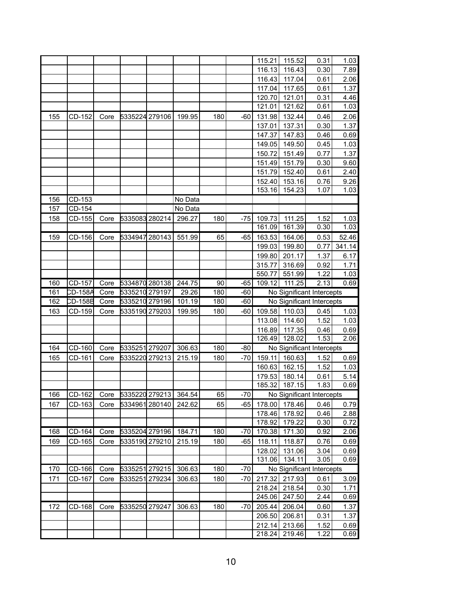|     |            |      |                       |         |     |       | 115.21           | 115.52           | 0.31                      | 1.03         |
|-----|------------|------|-----------------------|---------|-----|-------|------------------|------------------|---------------------------|--------------|
|     |            |      |                       |         |     |       | 116.13           | 116.43           | 0.30                      | 7.89         |
|     |            |      |                       |         |     |       | 116.43           | 117.04           | 0.61                      | 2.06         |
|     |            |      |                       |         |     |       | 117.04           | 117.65           | 0.61                      | 1.37         |
|     |            |      |                       |         |     |       | 120.70           | 121.01           | 0.31                      | 4.46         |
|     |            |      |                       |         |     |       | 121.01           | 121.62           | 0.61                      | 1.03         |
| 155 | CD-152     | Core | 5335224 279106        | 199.95  | 180 | $-60$ | 131.98           | 132.44           | 0.46                      | 2.06         |
|     |            |      |                       |         |     |       | 137.01           | 137.31           | 0.30                      | 1.37         |
|     |            |      |                       |         |     |       | 147.37           | 147.83           | 0.46                      | 0.69         |
|     |            |      |                       |         |     |       | 149.05           | 149.50           | 0.45                      | 1.03         |
|     |            |      |                       |         |     |       | 150.72           | 151.49           | 0.77                      | 1.37         |
|     |            |      |                       |         |     |       | 151.49           | 151.79           | 0.30                      | 9.60         |
|     |            |      |                       |         |     |       | 151.79           | 152.40           | 0.61                      | 2.40         |
|     |            |      |                       |         |     |       | 152.40           | 153.16           | 0.76                      | 9.26         |
|     |            |      |                       |         |     |       | 153.16           | 154.23           | 1.07                      | 1.03         |
| 156 | CD-153     |      |                       | No Data |     |       |                  |                  |                           |              |
| 157 | CD-154     |      |                       | No Data |     |       |                  |                  |                           |              |
| 158 | CD-155     | Core | 5335083 280214        | 296.27  | 180 | $-75$ | 109.73           | 111.25           | 1.52                      | 1.03         |
|     |            |      |                       |         |     |       | 161.09           | 161.39           | 0.30                      | 1.03         |
| 159 | CD-156     | Core | 5334947 280143        | 551.99  | 65  | $-65$ | 163.53           | 164.06           | 0.53                      | 52.46        |
|     |            |      |                       |         |     |       | 199.03           | 199.80           | 0.77                      | 341.14       |
|     |            |      |                       |         |     |       | 199.80           | 201.17           | 1.37                      | 6.17         |
|     |            |      |                       |         |     |       | 315.77           | 316.69           | 0.92                      | 1.71         |
|     |            |      |                       |         |     |       | 550.77           | 551.99           | 1.22                      | 1.03         |
| 160 | CD-157     | Core | 5334870 280138        | 244.75  | 90  | $-65$ | 109.12           | 111.25           | 2.13                      | 0.69         |
| 161 | CD-158A    | Core | 5335210 279197        | 29.26   | 180 | $-60$ |                  |                  | No Significant Intercepts |              |
|     |            |      |                       |         |     |       |                  |                  |                           |              |
| 162 | CD-158B    | Core | 5335210 279196        | 101.19  | 180 | $-60$ |                  |                  | No Significant Intercepts |              |
| 163 | CD-159     | Core | 5335190 279203        | 199.95  | 180 | $-60$ | 109.58           | 110.03           | 0.45                      | 1.03         |
|     |            |      |                       |         |     |       | 113.08           | 114.60           | 1.52                      | 1.03         |
|     |            |      |                       |         |     |       | 116.89           | 117.35           | 0.46                      | 0.69         |
|     |            |      |                       |         |     |       | 126.49           | 128.02           | 1.53                      | 2.06         |
| 164 | CD-160     | Core | 5335251 279207        | 306.63  | 180 | $-80$ |                  |                  | No Significant Intercepts |              |
| 165 | $ CD-161 $ | Core | 5335220 279213 215.19 |         | 180 | $-70$ |                  | 159.11 160.63    | 1.52                      | 0.69         |
|     |            |      |                       |         |     |       | 160.63           | 162.15           | 1.52                      | 1.03         |
|     |            |      |                       |         |     |       | 179.53           | 180.14           | 0.61                      | 5.14         |
|     |            |      |                       |         |     |       | 185.32           | 187.15           | 1.83                      | 0.69         |
| 166 | CD-162     | Core | 5335220 279213        | 364.54  | 65  | $-70$ |                  |                  | No Significant Intercepts |              |
| 167 | CD-163     | Core | 5334961 280140        | 242.62  | 65  | -65   | 178.00           | 178.46           | 0.46                      | 0.79         |
|     |            |      |                       |         |     |       | 178.46           | 178.92           | 0.46                      | 2.88         |
|     |            |      |                       |         |     |       | 178.92           | 179.22           | 0.30                      | 0.72         |
| 168 | CD-164     | Core | 5335204 279196        | 184.71  | 180 | -70   | 170.38           | 171.30           | 0.92                      | 2.06         |
| 169 | CD-165     | Core | 5335190 279210        | 215.19  | 180 | $-65$ | 118.11           | 118.87           | 0.76                      | 0.69         |
|     |            |      |                       |         |     |       | 128.02           | 131.06           | 3.04                      | 0.69         |
|     |            |      |                       |         |     |       | 131.06           | 134.11           | 3.05                      | 0.69         |
| 170 | CD-166     | Core | 5335251 279215        | 306.63  | 180 | $-70$ |                  |                  | No Significant Intercepts |              |
| 171 | CD-167     | Core | 5335251 279234        | 306.63  | 180 | $-70$ | 217.32           | 217.93           | 0.61                      | 3.09         |
|     |            |      |                       |         |     |       | 218.24           | 218.54           | 0.30                      | 1.71         |
|     |            |      |                       |         |     |       | 245.06           | 247.50           | 2.44                      | 0.69         |
| 172 | CD-168     | Core | 5335250 279247        | 306.63  | 180 | $-70$ | 205.44           | 206.04           | 0.60                      | 1.37         |
|     |            |      |                       |         |     |       | 206.50           | 206.81           | 0.31                      | 1.37         |
|     |            |      |                       |         |     |       | 212.14<br>218.24 | 213.66<br>219.46 | 1.52<br>1.22              | 0.69<br>0.69 |